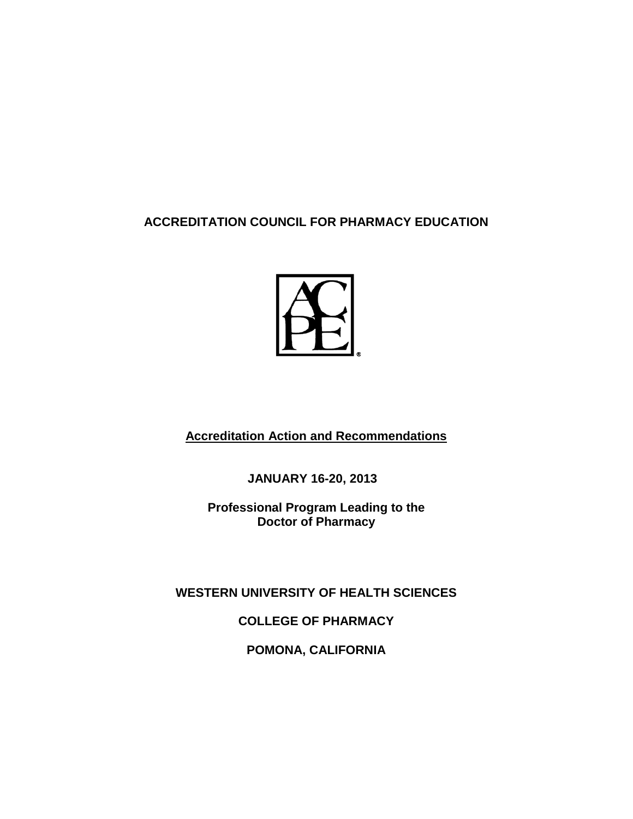## **ACCREDITATION COUNCIL FOR PHARMACY EDUCATION**



**Accreditation Action and Recommendations**

**JANUARY 16-20, 2013**

**Professional Program Leading to the Doctor of Pharmacy** 

**WESTERN UNIVERSITY OF HEALTH SCIENCES**

**COLLEGE OF PHARMACY**

**POMONA, CALIFORNIA**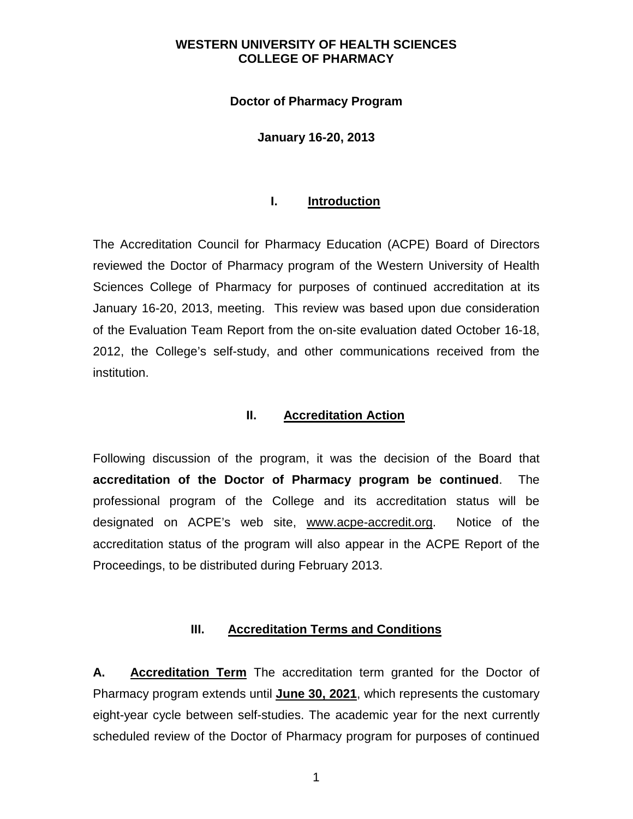#### **Doctor of Pharmacy Program**

#### **January 16-20, 2013**

#### **I. Introduction**

The Accreditation Council for Pharmacy Education (ACPE) Board of Directors reviewed the Doctor of Pharmacy program of the Western University of Health Sciences College of Pharmacy for purposes of continued accreditation at its January 16-20, 2013, meeting. This review was based upon due consideration of the Evaluation Team Report from the on-site evaluation dated October 16-18, 2012, the College's self-study, and other communications received from the institution.

#### **II. Accreditation Action**

Following discussion of the program, it was the decision of the Board that **accreditation of the Doctor of Pharmacy program be continued**. The professional program of the College and its accreditation status will be designated on ACPE's web site, www.acpe-accredit.org. Notice of the accreditation status of the program will also appear in the ACPE Report of the Proceedings, to be distributed during February 2013.

#### **III. Accreditation Terms and Conditions**

**A. Accreditation Term** The accreditation term granted for the Doctor of Pharmacy program extends until **June 30, 2021**, which represents the customary eight-year cycle between self-studies. The academic year for the next currently scheduled review of the Doctor of Pharmacy program for purposes of continued

1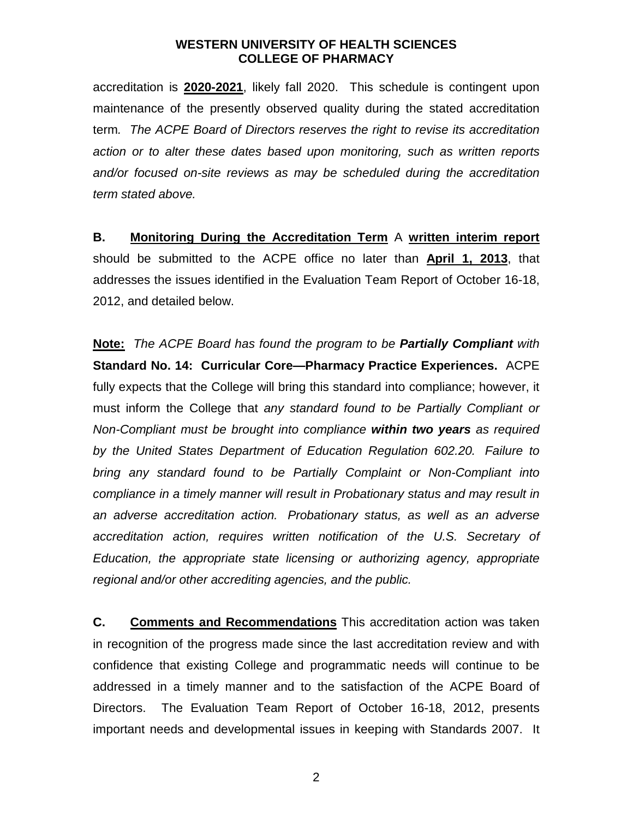accreditation is **2020-2021**, likely fall 2020. This schedule is contingent upon maintenance of the presently observed quality during the stated accreditation term*. The ACPE Board of Directors reserves the right to revise its accreditation action or to alter these dates based upon monitoring, such as written reports and/or focused on-site reviews as may be scheduled during the accreditation term stated above.* 

**B. Monitoring During the Accreditation Term** A **written interim report** should be submitted to the ACPE office no later than **April 1, 2013**, that addresses the issues identified in the Evaluation Team Report of October 16-18, 2012, and detailed below.

**Note:** *The ACPE Board has found the program to be Partially Compliant with*  **Standard No. 14: Curricular Core—Pharmacy Practice Experiences.** ACPE fully expects that the College will bring this standard into compliance; however, it must inform the College that *any standard found to be Partially Compliant or Non-Compliant must be brought into compliance within two years as required by the United States Department of Education Regulation 602.20. Failure to bring any standard found to be Partially Complaint or Non-Compliant into compliance in a timely manner will result in Probationary status and may result in an adverse accreditation action. Probationary status, as well as an adverse accreditation action, requires written notification of the U.S. Secretary of Education, the appropriate state licensing or authorizing agency, appropriate regional and/or other accrediting agencies, and the public.*

**C. Comments and Recommendations** This accreditation action was taken in recognition of the progress made since the last accreditation review and with confidence that existing College and programmatic needs will continue to be addressed in a timely manner and to the satisfaction of the ACPE Board of Directors. The Evaluation Team Report of October 16-18, 2012, presents important needs and developmental issues in keeping with Standards 2007. It

2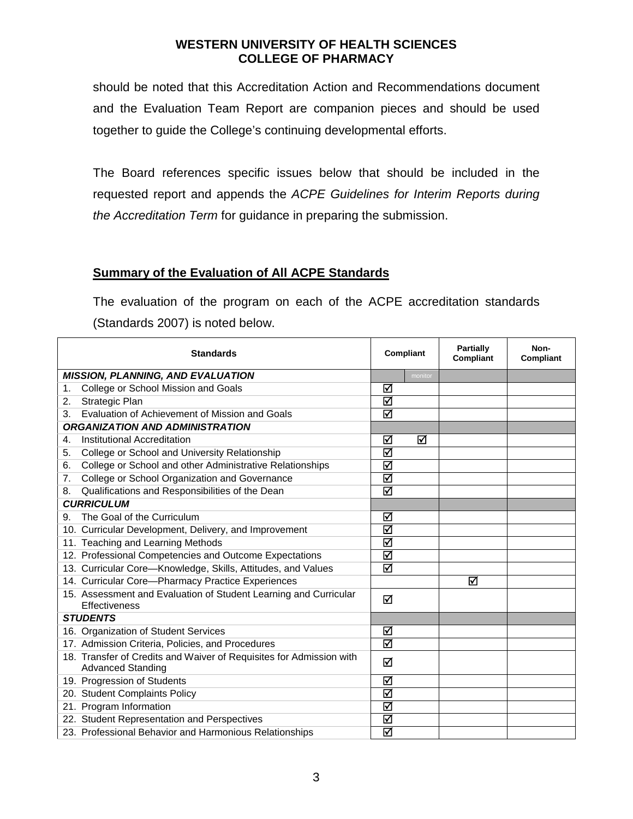should be noted that this Accreditation Action and Recommendations document and the Evaluation Team Report are companion pieces and should be used together to guide the College's continuing developmental efforts.

The Board references specific issues below that should be included in the requested report and appends the *ACPE Guidelines for Interim Reports during the Accreditation Term* for guidance in preparing the submission.

## **Summary of the Evaluation of All ACPE Standards**

The evaluation of the program on each of the ACPE accreditation standards (Standards 2007) is noted below.

| <b>Standards</b>                                                                                | Compliant | <b>Partially</b><br><b>Compliant</b> | Non-<br>Compliant |
|-------------------------------------------------------------------------------------------------|-----------|--------------------------------------|-------------------|
| <b>MISSION, PLANNING, AND EVALUATION</b>                                                        |           | monitor                              |                   |
| College or School Mission and Goals<br>1.                                                       | ☑         |                                      |                   |
| Strategic Plan<br>2.                                                                            | ⊠         |                                      |                   |
| Evaluation of Achievement of Mission and Goals<br>3.                                            | ⊠         |                                      |                   |
| <b>ORGANIZATION AND ADMINISTRATION</b>                                                          |           |                                      |                   |
| <b>Institutional Accreditation</b><br>4.                                                        | ☑         | ☑                                    |                   |
| College or School and University Relationship<br>5.                                             | ☑         |                                      |                   |
| College or School and other Administrative Relationships<br>6.                                  | ☑         |                                      |                   |
| College or School Organization and Governance<br>7.                                             | ⊠         |                                      |                   |
| Qualifications and Responsibilities of the Dean<br>8.                                           | ⊠         |                                      |                   |
| <b>CURRICULUM</b>                                                                               |           |                                      |                   |
| The Goal of the Curriculum<br>9.                                                                | ☑         |                                      |                   |
| 10. Curricular Development, Delivery, and Improvement                                           | ⊠         |                                      |                   |
| 11. Teaching and Learning Methods                                                               | ⊠         |                                      |                   |
| 12. Professional Competencies and Outcome Expectations                                          | ⊠         |                                      |                   |
| 13. Curricular Core-Knowledge, Skills, Attitudes, and Values                                    | ☑         |                                      |                   |
| 14. Curricular Core-Pharmacy Practice Experiences                                               |           | ⊠                                    |                   |
| 15. Assessment and Evaluation of Student Learning and Curricular<br>Effectiveness               | ☑         |                                      |                   |
| <b>STUDENTS</b>                                                                                 |           |                                      |                   |
| 16. Organization of Student Services                                                            | ☑         |                                      |                   |
| 17. Admission Criteria, Policies, and Procedures                                                | ☑         |                                      |                   |
| 18. Transfer of Credits and Waiver of Requisites for Admission with<br><b>Advanced Standing</b> | ⊠         |                                      |                   |
| 19. Progression of Students                                                                     | ☑         |                                      |                   |
| 20. Student Complaints Policy                                                                   | ☑         |                                      |                   |
| 21. Program Information                                                                         | ⊠         |                                      |                   |
| 22. Student Representation and Perspectives                                                     | ⊠         |                                      |                   |
| 23. Professional Behavior and Harmonious Relationships                                          | ⊠         |                                      |                   |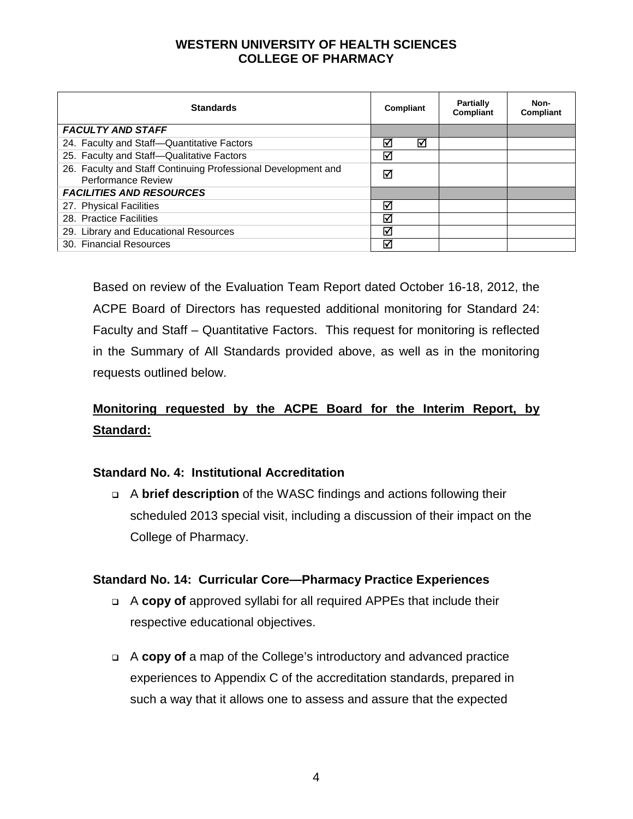| <b>Standards</b>                                                                    | Compliant |   | <b>Partially</b><br>Compliant | Non-<br>Compliant |
|-------------------------------------------------------------------------------------|-----------|---|-------------------------------|-------------------|
| <b>FACULTY AND STAFF</b>                                                            |           |   |                               |                   |
| 24. Faculty and Staff-Quantitative Factors                                          | M         | М |                               |                   |
| 25. Faculty and Staff-Qualitative Factors                                           | ⊠         |   |                               |                   |
| 26. Faculty and Staff Continuing Professional Development and<br>Performance Review | ☑         |   |                               |                   |
| <b>FACILITIES AND RESOURCES</b>                                                     |           |   |                               |                   |
| 27. Physical Facilities                                                             | ∇         |   |                               |                   |
| 28. Practice Facilities                                                             | ⊽         |   |                               |                   |
| 29. Library and Educational Resources                                               | ⊽         |   |                               |                   |
| 30. Financial Resources                                                             | ⊽         |   |                               |                   |

Based on review of the Evaluation Team Report dated October 16-18, 2012, the ACPE Board of Directors has requested additional monitoring for Standard 24: Faculty and Staff – Quantitative Factors. This request for monitoring is reflected in the Summary of All Standards provided above, as well as in the monitoring requests outlined below.

# **Monitoring requested by the ACPE Board for the Interim Report, by Standard:**

## **Standard No. 4: Institutional Accreditation**

 A **brief description** of the WASC findings and actions following their scheduled 2013 special visit, including a discussion of their impact on the College of Pharmacy.

#### **Standard No. 14: Curricular Core—Pharmacy Practice Experiences**

- A **copy of** approved syllabi for all required APPEs that include their respective educational objectives.
- A **copy of** a map of the College's introductory and advanced practice experiences to Appendix C of the accreditation standards, prepared in such a way that it allows one to assess and assure that the expected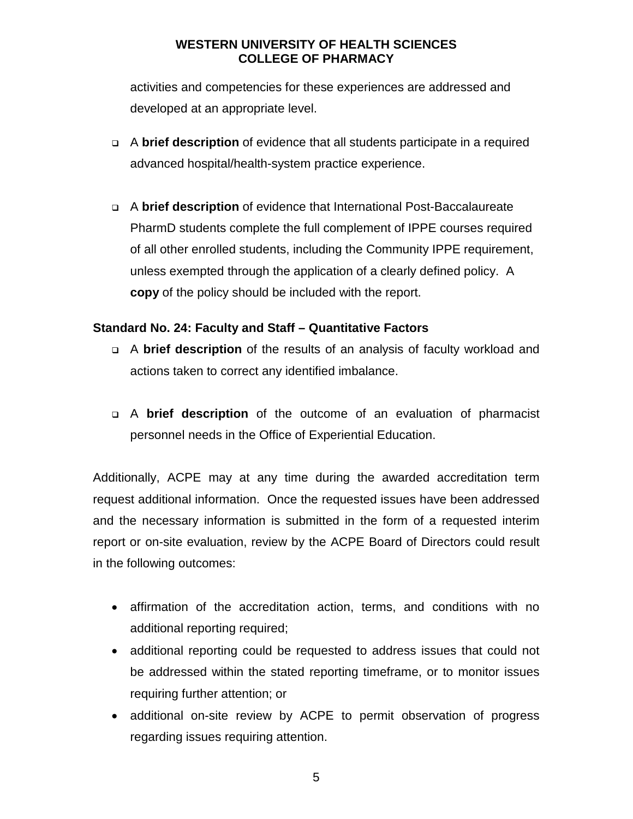activities and competencies for these experiences are addressed and developed at an appropriate level.

- A **brief description** of evidence that all students participate in a required advanced hospital/health-system practice experience.
- A **brief description** of evidence that International Post-Baccalaureate PharmD students complete the full complement of IPPE courses required of all other enrolled students, including the Community IPPE requirement, unless exempted through the application of a clearly defined policy. A **copy** of the policy should be included with the report.

## **Standard No. 24: Faculty and Staff – Quantitative Factors**

- A **brief description** of the results of an analysis of faculty workload and actions taken to correct any identified imbalance.
- A **brief description** of the outcome of an evaluation of pharmacist personnel needs in the Office of Experiential Education.

Additionally, ACPE may at any time during the awarded accreditation term request additional information. Once the requested issues have been addressed and the necessary information is submitted in the form of a requested interim report or on-site evaluation, review by the ACPE Board of Directors could result in the following outcomes:

- affirmation of the accreditation action, terms, and conditions with no additional reporting required;
- additional reporting could be requested to address issues that could not be addressed within the stated reporting timeframe, or to monitor issues requiring further attention; or
- additional on-site review by ACPE to permit observation of progress regarding issues requiring attention.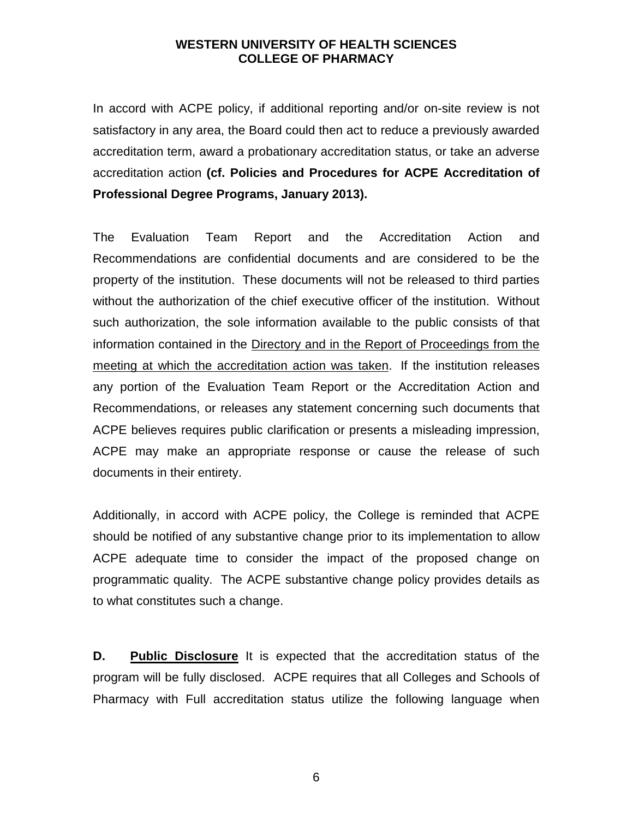In accord with ACPE policy, if additional reporting and/or on-site review is not satisfactory in any area, the Board could then act to reduce a previously awarded accreditation term, award a probationary accreditation status, or take an adverse accreditation action **(cf. Policies and Procedures for ACPE Accreditation of Professional Degree Programs, January 2013).**

The Evaluation Team Report and the Accreditation Action and Recommendations are confidential documents and are considered to be the property of the institution. These documents will not be released to third parties without the authorization of the chief executive officer of the institution. Without such authorization, the sole information available to the public consists of that information contained in the Directory and in the Report of Proceedings from the meeting at which the accreditation action was taken. If the institution releases any portion of the Evaluation Team Report or the Accreditation Action and Recommendations, or releases any statement concerning such documents that ACPE believes requires public clarification or presents a misleading impression, ACPE may make an appropriate response or cause the release of such documents in their entirety.

Additionally, in accord with ACPE policy, the College is reminded that ACPE should be notified of any substantive change prior to its implementation to allow ACPE adequate time to consider the impact of the proposed change on programmatic quality. The ACPE substantive change policy provides details as to what constitutes such a change.

**D.** Public Disclosure It is expected that the accreditation status of the program will be fully disclosed. ACPE requires that all Colleges and Schools of Pharmacy with Full accreditation status utilize the following language when

6